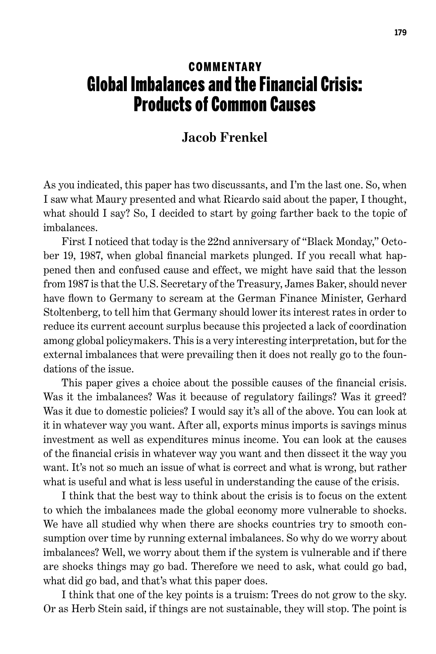## **COMMENTARY** Global Imbalances and the Financial Crisis: Products of Common Causes

## **Jacob Frenkel**

As you indicated, this paper has two discussants, and I'm the last one. So, when I saw what Maury presented and what Ricardo said about the paper, I thought, what should I say? So, I decided to start by going farther back to the topic of imbalances.

First I noticed that today is the 22nd anniversary of "Black Monday," October 19, 1987, when global financial markets plunged. If you recall what happened then and confused cause and effect, we might have said that the lesson from 1987 is that the U.S. Secretary of the Treasury, James Baker, should never have flown to Germany to scream at the German Finance Minister, Gerhard Stoltenberg, to tell him that Germany should lower its interest rates in order to reduce its current account surplus because this projected a lack of coordination among global policymakers. This is a very interesting interpretation, but for the external imbalances that were prevailing then it does not really go to the foundations of the issue.

This paper gives a choice about the possible causes of the financial crisis. Was it the imbalances? Was it because of regulatory failings? Was it greed? Was it due to domestic policies? I would say it's all of the above. You can look at it in whatever way you want. After all, exports minus imports is savings minus investment as well as expenditures minus income. You can look at the causes of the financial crisis in whatever way you want and then dissect it the way you want. It's not so much an issue of what is correct and what is wrong, but rather what is useful and what is less useful in understanding the cause of the crisis.

I think that the best way to think about the crisis is to focus on the extent to which the imbalances made the global economy more vulnerable to shocks. We have all studied why when there are shocks countries try to smooth consumption over time by running external imbalances. So why do we worry about imbalances? Well, we worry about them if the system is vulnerable and if there are shocks things may go bad. Therefore we need to ask, what could go bad, what did go bad, and that's what this paper does.

I think that one of the key points is a truism: Trees do not grow to the sky. Or as Herb Stein said, if things are not sustainable, they will stop. The point is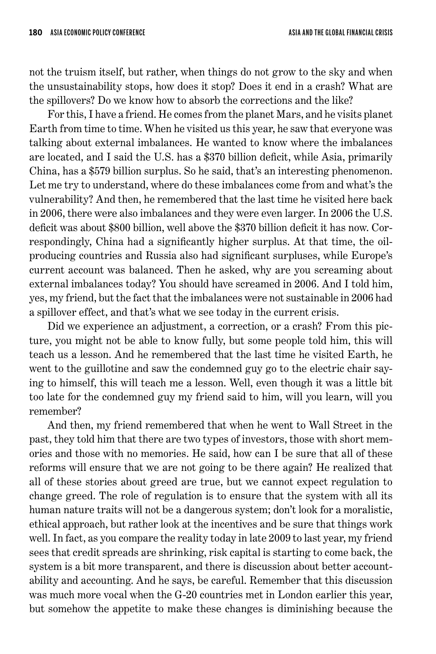not the truism itself, but rather, when things do not grow to the sky and when the unsustainability stops, how does it stop? Does it end in a crash? What are the spillovers? Do we know how to absorb the corrections and the like?

For this, I have a friend. He comes from the planet Mars, and he visits planet Earth from time to time. When he visited us this year, he saw that everyone was talking about external imbalances. He wanted to know where the imbalances are located, and I said the U.S. has a \$370 billion deficit, while Asia, primarily China, has a \$579 billion surplus. So he said, that's an interesting phenomenon. Let me try to understand, where do these imbalances come from and what's the vulnerability? And then, he remembered that the last time he visited here back in 2006, there were also imbalances and they were even larger. In 2006 the U.S. deficit was about \$800 billion, well above the \$370 billion deficit it has now. Correspondingly, China had a significantly higher surplus. At that time, the oilproducing countries and Russia also had significant surpluses, while Europe's current account was balanced. Then he asked, why are you screaming about external imbalances today? You should have screamed in 2006. And I told him, yes, my friend, but the fact that the imbalances were not sustainable in 2006 had a spillover effect, and that's what we see today in the current crisis.

Did we experience an adjustment, a correction, or a crash? From this picture, you might not be able to know fully, but some people told him, this will teach us a lesson. And he remembered that the last time he visited Earth, he went to the guillotine and saw the condemned guy go to the electric chair saying to himself, this will teach me a lesson. Well, even though it was a little bit too late for the condemned guy my friend said to him, will you learn, will you remember?

And then, my friend remembered that when he went to Wall Street in the past, they told him that there are two types of investors, those with short memories and those with no memories. He said, how can I be sure that all of these reforms will ensure that we are not going to be there again? He realized that all of these stories about greed are true, but we cannot expect regulation to change greed. The role of regulation is to ensure that the system with all its human nature traits will not be a dangerous system; don't look for a moralistic, ethical approach, but rather look at the incentives and be sure that things work well. In fact, as you compare the reality today in late 2009 to last year, my friend sees that credit spreads are shrinking, risk capital is starting to come back, the system is a bit more transparent, and there is discussion about better accountability and accounting. And he says, be careful. Remember that this discussion was much more vocal when the G-20 countries met in London earlier this year, but somehow the appetite to make these changes is diminishing because the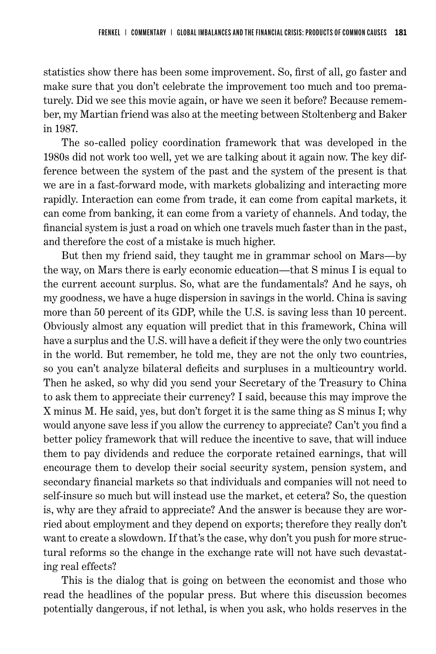statistics show there has been some improvement. So, first of all, go faster and make sure that you don't celebrate the improvement too much and too prematurely. Did we see this movie again, or have we seen it before? Because remember, my Martian friend was also at the meeting between Stoltenberg and Baker in 1987.

The so-called policy coordination framework that was developed in the 1980s did not work too well, yet we are talking about it again now. The key difference between the system of the past and the system of the present is that we are in a fast-forward mode, with markets globalizing and interacting more rapidly. Interaction can come from trade, it can come from capital markets, it can come from banking, it can come from a variety of channels. And today, the financial system is just a road on which one travels much faster than in the past, and therefore the cost of a mistake is much higher.

But then my friend said, they taught me in grammar school on Mars—by the way, on Mars there is early economic education—that S minus I is equal to the current account surplus. So, what are the fundamentals? And he says, oh my goodness, we have a huge dispersion in savings in the world. China is saving more than 50 percent of its GDP, while the U.S. is saving less than 10 percent. Obviously almost any equation will predict that in this framework, China will have a surplus and the U.S. will have a deficit if they were the only two countries in the world. But remember, he told me, they are not the only two countries, so you can't analyze bilateral deficits and surpluses in a multicountry world. Then he asked, so why did you send your Secretary of the Treasury to China to ask them to appreciate their currency? I said, because this may improve the X minus M. He said, yes, but don't forget it is the same thing as S minus I; why would anyone save less if you allow the currency to appreciate? Can't you find a better policy framework that will reduce the incentive to save, that will induce them to pay dividends and reduce the corporate retained earnings, that will encourage them to develop their social security system, pension system, and secondary financial markets so that individuals and companies will not need to self-insure so much but will instead use the market, et cetera? So, the question is, why are they afraid to appreciate? And the answer is because they are worried about employment and they depend on exports; therefore they really don't want to create a slowdown. If that's the case, why don't you push for more structural reforms so the change in the exchange rate will not have such devastating real effects?

This is the dialog that is going on between the economist and those who read the headlines of the popular press. But where this discussion becomes potentially dangerous, if not lethal, is when you ask, who holds reserves in the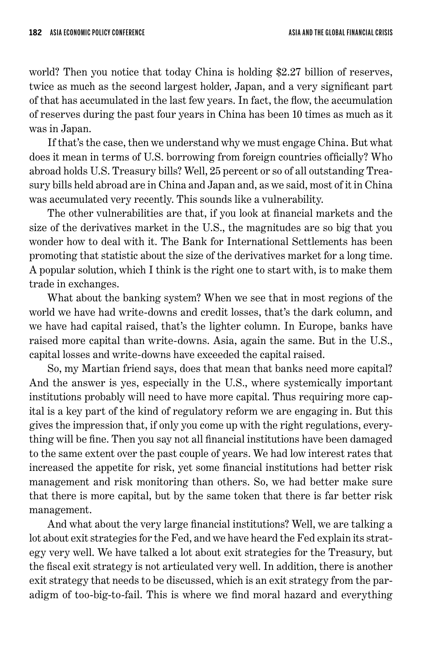world? Then you notice that today China is holding \$2.27 billion of reserves, twice as much as the second largest holder, Japan, and a very significant part of that has accumulated in the last few years. In fact, the flow, the accumulation of reserves during the past four years in China has been 10 times as much as it was in Japan.

If that's the case, then we understand why we must engage China. But what does it mean in terms of U.S. borrowing from foreign countries officially? Who abroad holds U.S. Treasury bills? Well, 25 percent or so of all outstanding Treasury bills held abroad are in China and Japan and, as we said, most of it in China was accumulated very recently. This sounds like a vulnerability.

The other vulnerabilities are that, if you look at financial markets and the size of the derivatives market in the U.S., the magnitudes are so big that you wonder how to deal with it. The Bank for International Settlements has been promoting that statistic about the size of the derivatives market for a long time. A popular solution, which I think is the right one to start with, is to make them trade in exchanges.

What about the banking system? When we see that in most regions of the world we have had write-downs and credit losses, that's the dark column, and we have had capital raised, that's the lighter column. In Europe, banks have raised more capital than write-downs. Asia, again the same. But in the U.S., capital losses and write-downs have exceeded the capital raised.

So, my Martian friend says, does that mean that banks need more capital? And the answer is yes, especially in the U.S., where systemically important institutions probably will need to have more capital. Thus requiring more capital is a key part of the kind of regulatory reform we are engaging in. But this gives the impression that, if only you come up with the right regulations, everything will be fine. Then you say not all financial institutions have been damaged to the same extent over the past couple of years. We had low interest rates that increased the appetite for risk, yet some financial institutions had better risk management and risk monitoring than others. So, we had better make sure that there is more capital, but by the same token that there is far better risk management.

And what about the very large financial institutions? Well, we are talking a lot about exit strategies for the Fed, and we have heard the Fed explain its strategy very well. We have talked a lot about exit strategies for the Treasury, but the fiscal exit strategy is not articulated very well. In addition, there is another exit strategy that needs to be discussed, which is an exit strategy from the paradigm of too-big-to-fail. This is where we find moral hazard and everything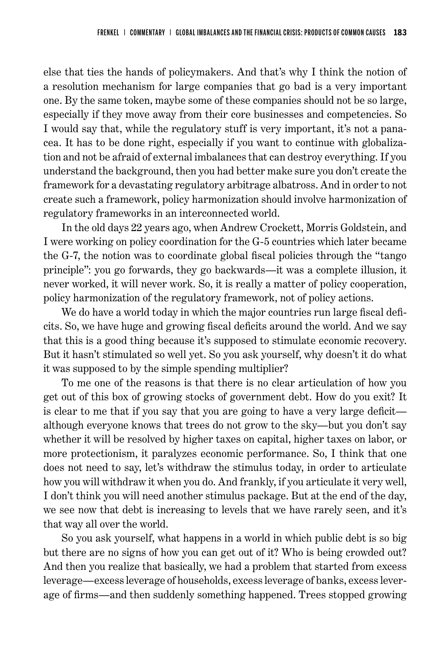else that ties the hands of policymakers. And that's why I think the notion of a resolution mechanism for large companies that go bad is a very important one. By the same token, maybe some of these companies should not be so large, especially if they move away from their core businesses and competencies. So I would say that, while the regulatory stuff is very important, it's not a panacea. It has to be done right, especially if you want to continue with globalization and not be afraid of external imbalances that can destroy everything. If you understand the background, then you had better make sure you don't create the framework for a devastating regulatory arbitrage albatross. And in order to not create such a framework, policy harmonization should involve harmonization of regulatory frameworks in an interconnected world.

In the old days 22 years ago, when Andrew Crockett, Morris Goldstein, and I were working on policy coordination for the G-5 countries which later became the G-7, the notion was to coordinate global fiscal policies through the "tango principle": you go forwards, they go backwards—it was a complete illusion, it never worked, it will never work. So, it is really a matter of policy cooperation, policy harmonization of the regulatory framework, not of policy actions.

We do have a world today in which the major countries run large fiscal deficits. So, we have huge and growing fiscal deficits around the world. And we say that this is a good thing because it's supposed to stimulate economic recovery. But it hasn't stimulated so well yet. So you ask yourself, why doesn't it do what it was supposed to by the simple spending multiplier?

To me one of the reasons is that there is no clear articulation of how you get out of this box of growing stocks of government debt. How do you exit? It is clear to me that if you say that you are going to have a very large deficit although everyone knows that trees do not grow to the sky—but you don't say whether it will be resolved by higher taxes on capital, higher taxes on labor, or more protectionism, it paralyzes economic performance. So, I think that one does not need to say, let's withdraw the stimulus today, in order to articulate how you will withdraw it when you do. And frankly, if you articulate it very well, I don't think you will need another stimulus package. But at the end of the day, we see now that debt is increasing to levels that we have rarely seen, and it's that way all over the world.

So you ask yourself, what happens in a world in which public debt is so big but there are no signs of how you can get out of it? Who is being crowded out? And then you realize that basically, we had a problem that started from excess leverage—excess leverage of households, excess leverage of banks, excess leverage of firms—and then suddenly something happened. Trees stopped growing